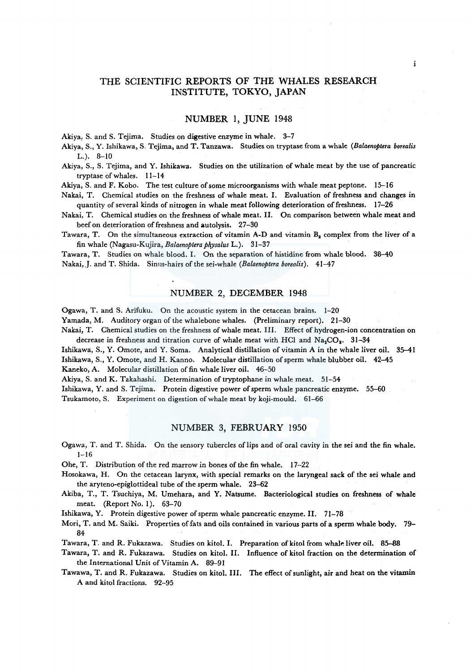# THE SCIENTIFIC REPORTS OF THE WHALES RESEARCH INSTITUTE, TOKYO, JAPAN

## NUMBER 1, JUNE 1948

Akiya, S. and S. Tejima. Studies on digestive enzyme in whale. 3-7

Akiya, S., Y. Ishikawa, S. Tejima, and T. Tanzawa. Studies on tryptase from a whale *(Balaenoptera borealis*  L.). 8-10

Akiya, S., S. Tejima, and Y. Ishikawa. Studies on the utilization of whale meat by the use of pancreatic tryptase of whales. 11-14

Akiya, S. and F. Kobo. The test culture of some microorganisms with whale meat peptone. 15-16

Nakai, T. Chemical studies on the freshness of whale meat. I. Evaluation of freshness and changes in quantity of several kinds of nitrogen in whale meat following deterioration of freshness. 17-26

Nakai, T. Chemical studies on the freshness of whale meat. II. On comparison between whale meat and beef on deterioration of freshness and autolysis. 27-30

Tawara, T. On the simultaneous extraction of vitamin A-D and vitamin  $B_2$  complex from the liver of a fin whale (Nagasu-Kujira, *Balaenoptera physalus* L.). 31-37

Tawara, T. Studies on whale blood. I. On the separation of histidine from whale blood. 38-40 Nakai,.J. and T. Shida. Sinus-hairs of the sei-whale *(Balaenoptera borealis).* 41-47

## NUMBER 2, DECEMBER 1948

Ogawa, T. and S. Arifuku. On the acoustic system in the cetacean brains. 1-20

Yamada, M. Auditory organ of the whalebone whales. (Preliminary report). 21-30

Nakai, T. Chemical studies on the freshness of whale meat. III. Effect of hydrogen-ion concentration on decrease in freshness and titration curve of whale meat with HCl and  $Na_2CO_2$ . 31-34

Ishikawa, S., Y. Omote, and Y. Soma. Analytical distillation of vitamin A in the whale liver oil. 35-41 Ishikawa, S., Y. Omote, and H. Kanno. Molecular distillation of sperm whale blubber oil. 42-45 Kaneko, A. Molecular distillation of fin whale liver oil. 46-50

Akiya, S. and K. Takahashi. Determination of tryptophane in whale meat. 51-54

Ishikawa, Y. and S. Tejima. Protein digestive power of sperm whale pancreatic enzyme. 55-60

Tsukamoto, S. Experiment on digestion of whale meat by koji-mould. 61-66

#### NUMBER 3, FEBRUARY 1950

Ogawa, T. and T. Shida. On the sensory tubercles oflips and of oral cavity in the sei and the fin whale. 1-16

Ohe, T. Distribution of the red marrow in bones of the fin whale. 17--22

Hosokawa, H. On the cetacean larynx, with special remarks on the laryngeal sack of the sei whale and the aryteno-epiglottideal tube of the sperm whale. 23-62

Akiba, T., T. Tsuchiya, M. Umehara, and Y. Natsume. Bacteriological studies on freshness of whale meat. (Report No. 1). 63-70

Ishikawa, Y. Protein digestive power of sperm whale pancreatic enzyme. II. 71-78

Mori, T. and M. Saiki. Properties of.fats and oils contained in various parts of a sperm whale body. 79- 84

Tawara, T. and R. Fukazawa. Studies on kitol. I. Preparation of kitol from whale liver oil. 85-88

Tawara, T. and R. Fukazawa. Studies on kitol. II. Influence of kitol fraction on the determination of the International Unit of Vitamin A. 89-91

Tawawa, T. and R. Fukazawa. Studies on kitol. III. The effect of sunlight, air and heat on the vitamin A and kitol fractions. 92-95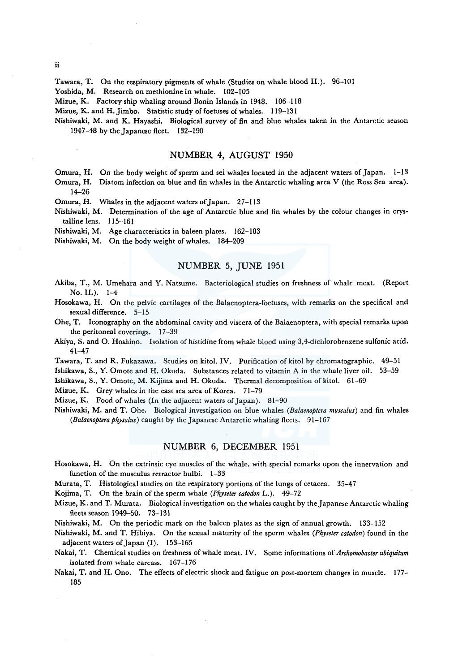Tawara, T. On the respiratory pigments of whale (Studies on whale blood II.). 96-101

Yoshida, M. Research on methionine in whale. 102-105

Mizue, K. Factory ship whaling around Bonin Islands in 1948. 106-118

Mizue, K. and H. Jimbo. Statistic study of foetuses of whales. 119-131

Nishiwaki, M. and K. Hayashi. Biological survey of fin and blue whales taken in the Antarctic season 1947-48 by the Japanese fleet. 132-190

## NUMBER 4, AUGUST 1950

Omura, H. On the body weight of sperm and sei whales located in the adjacent waters of Japan. 1-13

Omura, H. Diatom infection on blue and fin whales in the Antarctic whaling area V (the Ross Sea area). 14-26

Omura, H. Whales in the adjacent waters of Japan. 27-113

Nishiwaki, M. Determination of the age of Antarctic blue and fin whales by the colour changes in crystalline lens. 115-161

Nishiwaki, M. Age characteristics in baleen plates. 162-183

Nishiwaki, M. On the body weight of whales. 184-209

## NUMBER 5, JUNE 1951

- Akiba, T., M. Umehara and Y. Natsume. Bacteriological studies on freshness of whale meat. (Report No. II.). 1-4
- Hosokawa, H. On the pelvic cartilages of the Balaenoptera-foetuses, with remarks on the specifical and sexual difference. 5-15
- Ohe, T. Iconography on the abdominal cavity and viscera of the Balaenoptera, with special remarks upon the peritoneal coverings. 17-39
- Akiya, S. and 0. Hoshino. Isolation of histidine from whale blood using 3,4-dichlorobenzene sulfonic acid. 41-47
- Tawara, T. and R. Fukazawa. Studies on kitol. IV. Purification of kitol by chromatographic. 49-5 l

Ishikawa, S., Y. Omote and H. Okuda. Substances related to vitamin A in the whale liver oil. 53-59

Ishikawa, S., Y. Omote, M. Kijima and H. Okuda. Thermal decomposition of kitol. 61-69

Mizue, K. Grey whales in the east sea area of Korea. 71-79

Mizue, K. Food of whales (In the adjacent waters of Japan). 81-90

Nishiwaki, M. and T. Ohe. Biological investigation on blue whales *(Balaenoptera musculus)* and fin whales *(Balaenoptera physalus)* caught by the Japanese Antarctic whaling fleets. 91-167

## NUMBER 6, DECEMBER 1951

- Hosokawa, H. On the extrinsic eye muscles of the whale. with special remarks upon the innervation and function of the musculus retractor bulbi. 1-33
- Murata, T. Histological studies on the respiratory portions of the lungs of cetacea. 35–47

Kojima, T. On the brain of the sperm whale *(Physeter catodon* L.). 49-72

- Mizue, K. and T. Murata. Biological investigation on the whales caught by the Japanese Antarctic whaling fleets season 1949-50. 73-131
- Nishiwaki, M. On the periodic mark on the baleen plates as the sign of annual growth. 133-152
- Nishiwaki, M. and T. Hibiya. On the sexual maturity of the sperm whales *(Ph\_yseter catodon)* found in the adjacent waters of Japan (I). 153-165
- Nakai, T. Chemical studies on freshness of whale meat. IV. Some informations of *Archomobacter ubiquitum*  isolated from whale carcass. 167-176

Nakai, T. and H. Ono. The effects of electric shock and fatigue on post-mortem changes in muscle. 177- 185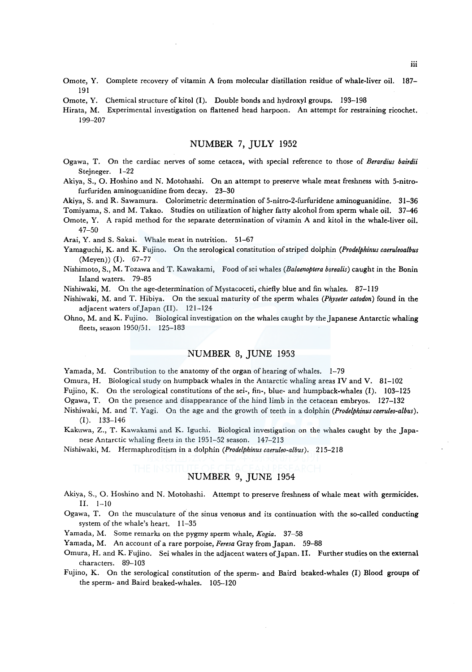- Omote, Y. Complete recovery of vitamin A from molecular distillation residue of whale-liver oil. 187- 191
- Omote, Y. Chemical structure of kitol (I). Double bonds and hydroxyl groups. 193-198
- Hirata, M. Experimental investigation on flattened head harpoon. An attempt for restraining ricochet. 199-207

## NUMBER 7, JULY 1952

- Ogawa, T. On the cardiac nerves of some cetacea, with special reference to those of *Berardius bairdii*  Stejneger. 1-22
- Akiya, S., 0. Hoshino and N. Motohashi. On an attempt to preserve whale meat freshness with 5-nitrofurfuriden aminoguanidine from decay. 23-30

Akiya, S. and R. Sawamura. Colorimetric determination of 5-nitro-2-furfuridene aminoguanidine. 31-36

Tomiyama, S. and M. Takao. Studies on utilization of higher fatty alcohol from sperm whale oil. 37-46

Omote, Y. A rapid method for the separate determination of vitamin A and kitol in the whale-liver oil. 47-50

Arai, Y. and S. Sakai. Whale meat in nutrition. 51-67

- Yamaguchi, K. and K. Fujino. On the serological constitution of striped dolphin *(Prodelphinus caeruleoalbus*  (Meyen)) (I). 67-77
- Nishimoto, S., M. Tozawa and T. Kawakami, Food ofsei whales *(Balaenoptera borealis)* caught in the Bonin Island waters. 79-85
- Nishiwaki, M. On the age-determination of Mystacoceti, chiefly blue and fin whales. 87-119
- Nishiwaki, M. and T. Hibiya. On the sexual maturity of the sperm whales *(Physeter catodon)* found in the adjacent waters of Japan (II). 121-124
- Ohno, M. and K. Fujino. Biological investigation on the whales caught by the Japanese Antarctic whaling fleets, season 1950/51. 125-183

## NUMBER 8, JUNE 1953

Yamada, M. Contribution to the anatomy of the organ of hearing of whales. 1-79

Omura, H. Biological study on humpback whales in the Antarctic whaling areas IV and V. 81-102

Fujino, K. On the serological constitutions of the sei-, fin-, blue- and humpback-whales (I). 103-125

Ogawa, T. On the presence and disappearance of the hind limb in the cetacean embryos. 127-132

- Nishiwaki, M. and T. Yagi. On the age and the growth of teeth in a dolphin *(Prodelphinuscaeruleo-albus).*  (I). 133-146
- Kakuwa, Z., T. Kawakami and K. Iguchi. Biological investigation on the whales caught by the Japanese Antarctic whaling fleets in the 1951-52 season. 147-213

Nishiwaki, M. Hermaphroditism in a dolphin *(Prodelphinuscaeruleo-albus).* 215-218

# NUMBER 9, JUNE 1954

- Akiya, S., 0. Hoshino and N. Motohashi. Attempt to preserve freshness of whale meat with germicides. II. 1-10
- Ogawa, T. On the musculature of the sinus venosus and its continuation with the so-called conducting system of the whale's heart. 11-35

Yamada, M. Some remarks on the pygmy sperm whale, *Kogia.* 37-58

Yamada, M. An account of a rare porpoise, *Feresa* Gray from Japan. 59-88

- Omura, H. and K. Fujino. Sei whales in the adjacent waters of Japan. II. Further studies on the external characters. 89-103
- Fujino, K. On the serological constitution of the sperm- and Baird beaked-whales (I) Blood groups of the sperm- and Baird beaked-whales. 105-120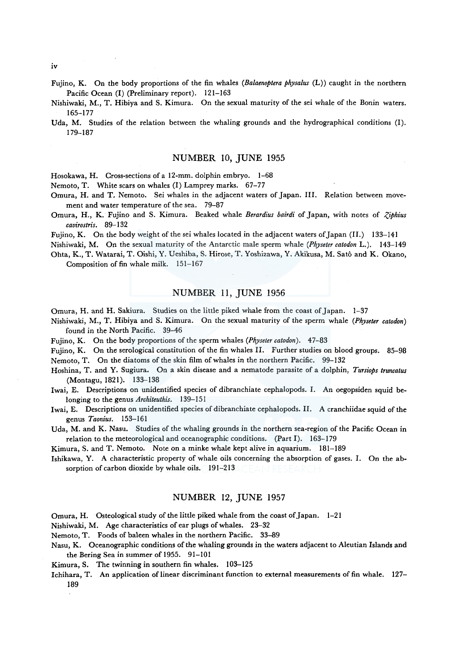iv

Fujino, K. On the body proportions of the fin whales *(Balaenoptera physalus* (L)) caught in the northern Pacific Ocean (I) (Preliminary report). 121-163

Nishiwaki, M., T. Hibiya and S. Kimura. On the sexual maturity of the sei whale of the Bonin waters. 165-177

Uda, M. Studies of the relation between the whaling grounds and the hydrographical conditions (I). 179-187

## NUMBER 10, JUNE 1955

Hosokawa, H. Cross-sections of a 12-mm. dolphin embryo. 1-68

Nemoto, T. White scars on whales (I) Lamprey marks. 67-77

Omura, H. and T. Nemoto. Sei whales in the adjacent waters of Japan. III. Relation between movement and water temperature of the sea. 79-87

Omura, H., K. Fujino and S. Kimura. Beaked whale *Berardius bairdi* of Japan, with notes of *Z,iphius cavirostris.* 89-132

Fujino, K. On the body weight of the sei whales located in the adjacent waters of Japan (II.) 133-141

Nishiwaki, M. On the sexual maturity of the Antarctic male sperm whale *(Physeter catodon* L.). 143-149 Ohta, K., T. Watarai, T. Oishi, Y. Ueshiba, S. Hirose, T. Yoshizawa, Y. Akikusa, M. Sato and K. Okano, Composition of fin whale milk. 151-167

# NUMBER 11, JUNE 1956

Omura, H. and H. Sakiura. Studies on the little piked whale from the coast of Japan. 1-37

Nishiwaki, M., T. Hibiya and S. Kimura. On the sexual maturity of the sperm whale *(Physeter catodon)*  found in the North Pacific. 39-46

Fujino, K. On the body proportions of the sperm whales (Physeter catodon). 47-83

Fujino, K. On the serological constitution of the fin whales II. Further studies on blood groups. 85-98 Nemoto, T. On the diatoms of the skin film of whales in the northern Pacific. 99-132

Hoshina, T. and Y. Sugiura. On a skin disease and a nematode parasite of a dolphin, *Tursiops truncatus*  (Montagu, 1821). 133-138

Iwai, E. Descriptions on unidentified species of dibranchiate cephalopods. I. An oegopsiden squid belonging to the genus *Architeuthis.* 139-151

Iwai, E. Descriptions on unidentified species of dibranchiate cephalopods. II. A cranchiidae squid of the genus *Taonius.* 153--161

Uda, M. and K. Nasu. Studies of the whaling grounds in the northern sea-region of the Pacific Ocean in relation to the meteorological and oceanographic conditions. (Part I). 163-179

Kimura, S. and T. Nemoto. Note on a minke whale kept alive in aquarium. 181-189

Ishikawa, Y. A characteristic property of whale oils concerning the absorption of gases. I. On the absorption of carbon dioxide by whale oils. 191-213

## NUMBER 12, JUNE 1957

Omura, H. Osteological study of the little piked whale from the coast of Japan. 1-21

Nishiwaki, M. Age characteristics of ear plugs of whales. 23-32

Nemoto, T. Foods of baleen whales in the northern Pacific. 33-89

Nasu, K. Oceanographic conditions of the whaling grounds in the waters adjacent to Aleutian Islands and the Bering Sea in summer of 1955. 91-101

Kimura, S. The twinning in southern fin whales. 103-125

Ichihara, T. An application of linear discriminant function to external measurements of fin whale. 127- 189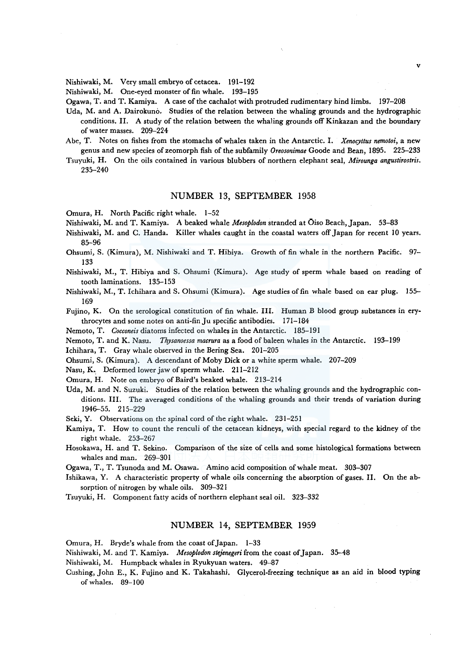Nishiwaki, M. Very small embryo of cetacea. 191-192

Nishiwaki, M. One-eyed monster of fin whale. 193-195

Ogawa, T. and T. Kamiya. A case of the cachalot with protruded rudimentary hind limbs. 197-208

Uda, M. and A. Dairokuno. Studies of the relation between the whaling grounds and the hydrographic conditions. II. A study of the relation between the whaling grounds off Kinkazan and the boundary of water masses. 209-224

v

- Abe, T. Notes on fishes from the stomachs of whales taken in the Antarctic. I. *Xenocyttus nemotoi,* a new genus and new species of zeomorph fish of the subfamily *Oreosonimae* Goode and Bean, 1895. 225-233
- Tsuyuki, H. On the oils contained in various blubbers of northern elephant seal, *Mirounga angustirostris.*  235-240

## NUMBER 13, SEPTEMBER 1958

Omura, H. North Pacific right whale. 1-52

Nishiwaki, M. and T. Kamiya. A beaked whale *Mesoplodon* stranded at Oiso Beach, Japan. 53-83

- Nishiwaki, M. and C. Handa. Killer whales caught in the coastal waters off Japan for recent JO years. 85-96
- Ohsumi, S. (Kimura), M. Nishiwaki and T. Hibiya. Growth of fin whale in the northern Pacific. 97- 133
- Nishiwaki, M., T. Hibiya and S. Ohsumi (Kimura). Age study of sperm whale based on reading of tooth laminations. 135-153
- Nishiwaki, M., T. lchihara and S. Ohsumi (Kimura). Age studies of fin whale based on ear plug. 155- 169
- Fujino, K. On the serological constitution of fin whale. III. Human B blood group substances in erythrocytes and some notes on anti-fin Ju specific antibodies. 171-184
- Nemoto, T. *Cocconeis* diatoms infected on whales in the Antarctic. 185-191
- Nemoto, T. and K. Nasu. *Thysanoessa macrura* as a food of baleen whales in the Antarctic. 193-199

Ichihara, T. Gray whale observed in the Bering Sea. 201-205

Ohsumi, S. (Kimura). A descendant of Moby Dick or a white sperm whale. 207-209

Nasu, K.. Deformed lower jaw of sperm whale. 211-212

Omura, H. Note on embryo of Baird's beaked whale. 213-214

Uda, M. and N. Suzuki. Studies of the relation between the whaling grounds and the hydrographic conditions. III. The averaged conditions of the whaling grounds and their trends of variation during 1946-55. 215-229

Seki, Y. Observations on the spinal cord of the right whale. 231-251

- Kamiya, T. How to count the renculi of the cetacean kidneys, with special regard to the kidney of the right whale. 253-267
- Hosokawa, H. and T. Sekino. Comparison of the size of cells and some histological formations between whales and man. 269-301

Ogawa, T., T. Tsunoda and M. Osawa. Amino acid composition of whale meat. 303-307

- Ishikawa, Y. A characteristic property of whale oils concerning the absorption of gases. II. On the absorption of nitrogen by whale oils. 309-321
- Tsuyuki, H. Component fatty acids of northern elephant seal oil. 323-332

## NUMBER 14, SEPTEMBER 1959

Omura, H. Bryde's whale from the coast of Japan. 1-33

Nishiwaki, M. and T. Kamiya. *Mesoplodon stejenegeri* from the coast of Japan. 35-48

Nishiwaki, M. Humpback whales in Ryukyuan waters. 49-87

Cushing, John E., K. Fujino and K. Takahashi. Glycerol-freezing technique as an aid in blood typing of whales. 89-100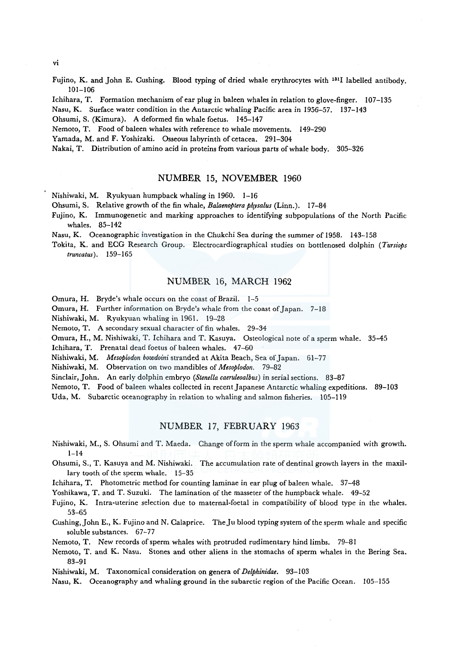vi

Fujino, K. and John E. Cushing. Blood typing of dried whale erythrocytes with 1311 labelled antibody. 101-106

lchihara, T. Formation mechanism of ear plug in baleen whales in relation to glove-finger. 107-135

Nasu, K. Surface water condition in the Antarctic whaling Pacific area in 1956-57. 137-143

Ohsumi, S. (Kimura). A deformed fin whale foetus. 145-147

Nemoto, T. Food of baleen whales with reference to whale movements. 149-290

Yamada, M. and F. Yoshizaki. Osseous labyrinth of cetacea. 291-304

Nakai, T. Distribution of amino acid in proteins from various parts of whale body. 305-326

## NUMBER 15, NOVEMBER 1960

Nishiwaki, M. Ryukyuan humpback whaling in 1960. 1-16

Ohsumi, S. Relative growth of the fin whale, *Balaenoptera ph\_ysalus* (Linn.). 17-84

Fujino, K. Immunogenetic and marking approaches to identifying subpopulations of the North Pacific whales. 85-142

Nasu, K. Oceanographic investigation in the Chukchi Sea during the summer of 1958. 143-158

Tokita, K. and ECG Research Group. Electrocardiographical studies on bottlenosed dolphin *(Tursiops truncatus).* 159-165

## NUMBER 16, MARCH 1962

Omura, H. Bryde's whale occurs on the coast of Brazil. 1-5

Omura, H. Further information on Bryde's whale from the coast of Japan. 7-18

Nishiwaki, M. Ryukyuan whaling in 1961. 19-28

Nemoto, T. A secondary sexual character of fin whales. 29-34

Omura, H., M. Nishiwaki, T. lchihara and T. Kasuya. Osteological note of a sperm whale. 35-45

lchihara, T. Prenatal dead foetus of baleen whales. 47-60

Nishiwaki, M. *Mesoplodon bowdoini* stranded at Akita Beach, Sea of Japan. 61-77

Nishiwaki, M. Observation on two mandibles of *Mesoplodon.* 79-82

Sinclair, John. An early dolphin embryo *(Stenella caeruleoalbus)* in serial sections. 83-87

Nemoto, T. Food of baleen whales collected in recent Japanese Antarctic whaling expeditions. 89-103

Uda, M. Subarctic oceanography in relation to whaling and salmon fisheries. 105-119

## NUMBER 17, FEBRUARY 1963

- Nishiwaki, M., S. Ohsumi and T. Maeda. Change of form in the sperm whale accompanied with growth.  $1 - 14$
- Ohsumi, S., T. Kasuya and M. Nishiwaki. The accumulation rate of dentinal growth layers in the maxillary tooth of the sperm whale. 15-35

Ichihara, T. Photometric method for counting laminae in ear plug of baleen whale. 37-48

Yoshikawa, T. and T. Suzuki. The lamination of the masseter of the humpback whale. 49-52

Fujino, K. Intra-uterine selection due to maternal-foetal in compatibility of blood type in the whales. 53-65

Cushing, John E., K. Fujino and N. Calaprice. The Ju blood typing system of the sperm whale and specific soluble substances. 67-77

Nemoto, T. New records of sperm whales with protruded rudimentary hind limbs. 79-81

Nemoto, T. and K. Nasu. Stones and other aliens in the stomachs of sperm whales in the Bering Sea. 83-91

Nishiwaki, M. Taxonomical consideration on genera of *Delphinidae.* 93-103

Nasu, K. Oceanography and whaling ground in the subarctic region of the Pacific Ocean. 105-155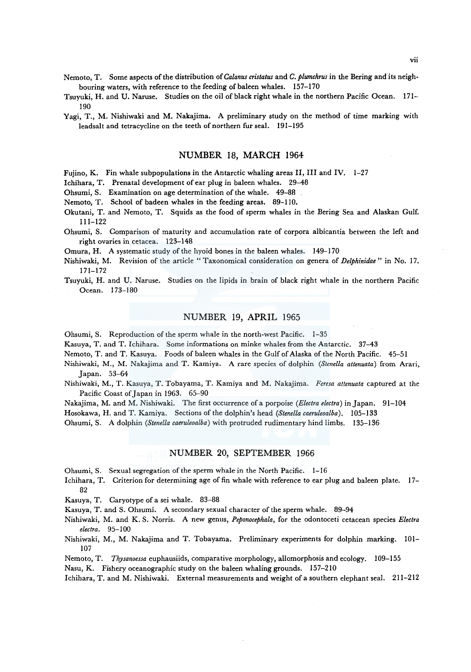- Nemoto, T. Some aspects of the distribution of *Ca/anus cristatus* and *C. plumchrus* in the Bering and its neighbouring waters, with reference to the feeding of baleen whales. 157-170
- Tsuyuki, H. and U. Naruse. Studies on the oil of black right whale in the northern Pacific Ocean. 171- 190
- Yagi, T., M. Nishiwaki and M. Nakajima. A preliminary study on the method of time marking with leadsalt and tetracycline on the teeth of northern fur seal. 191-195

## NUMBER 18, MARCH 1964

Fujino, K. Fin whale subpopulations in the Antarctic whaling areas II, III and IV.  $1-27$ 

Ichihara, T. Prenatal development of ear plug in baleen whales. 29-48

Ohsumi, S. Examination on age determination of the whale. 49-88

Nemoto, T. School of badeen whales in the feeding areas. 89-110.

- Okutani, T. and Nemoto, T. Squids as the food of sperm whales in the Bering Sea and Alaskan Gulf. 111-122
- Ohsumi, S. Comparison of maturity and accumulation rate of corpora albicantia between the left and right ovaries in cetacea. 123-148

Omura, H. A systematic study of the hyoid bones in the baleen whales. 149-170

- Nishiwaki, M. Revision of the article "Taxonomical consideration on genera of *Delphinidae"* in No. 17. 171-172
- Tsuyuki, H. and U. Naruse. Studies on the lipids in brain of black right whale in the northern Pacific Ocean. 173-180

## NUMBER 19, APRIL 1965

Ohsumi, S. Reproduction of the sperm whale in the north-west Pacific. 1-35

Kasuya, T. and T. Ichihara. Some informations on minke whales from the Antarctic. 37-43

Nemoto, T. and T. Kasuya. Foods of baleen whales in the Gulf of Alaska of the North Pacific. 45-51

- Nishiwaki, M., M. Nakajima and T. Kamiya. A rare species of dolphin *(Stenella attenuata)* from Arari, Japan. 53-64
- Nishiwaki, M., T. Kasuya, T. Tobayama, T. Kamiya and M. Nakajima. *Feresa attenuata* captured at the Pacific Coast of Japan in 1963. 65-90
- Nakajima, M. and M. Nishiwaki. The first occurrence ofa porpoise *(Electra electra)* in Japan. 91-104

Hosokawa, H. and T. Kamiya. Sections of the dolphin's head *(Stene/la caeruleoalba).* 105-133

Ohsumi, S. A dolphin *(Stenella caeruleoalba)* with protruded rudimentary hind limbs. 135-136

## NUMBER 20, SEPTEMBER 1966

Ohsumi, S. Sexual segregation of the sperm whale in the North Pacific. 1-16

- Ichihara, T. Criterion for determining age of fin whale with reference to ear plug and baleen plate. 17- 82
- Kasuya, T. Caryotype of a sei whale. 83-88

Kasuya, T. and S. Ohsumi. A secondary sexual character of the sperm whale. 89-94

Nishiwaki, M. and K. S. Norris. A new genus, *Peponocephala,* for the odontoceti cetacean species *Electra electra.* 95-100

Nishiwaki, M., M. Nakajima and T. Tobayama. Preliminary experiments for dolphin marking. 101- 107

Nemoto, T. *Thysanoessa* euphausiids, comparative morphology, allomorphosis and ecology. 109-155 Nasu, K. Fishery oceanographic study on the baleen whaling grounds. 157-210

lchihara, T. and M. Nishiwaki. External measurements and weight of a southern elephant seal. 211-212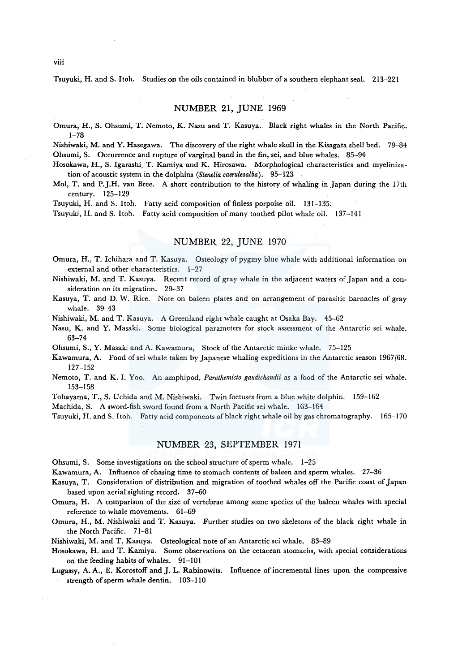Tsuyuki, H. and S. Itoh. Studies on the oils contained in blubber of a southern elephant seal. 213-221

## NUMBER 21, JUNE 1969

Omura, H., S. Ohsumi, T. Nemoto, K. Nasu and T. Kasuya.. Black right whales in the North Pacific. 1-78

Nishiwaki, M. and Y. Hasegawa. The discovery of the right whale skull in the Kisagata shell bed. 79-84 Ohsumi, S. Occurrence and rupture of varginal band in the fin, sei, and blue whales. 85-94

Hosokawa, H., S. lgarashi. T. Kamiya and K. Hirosawa. Morphological characteristics and myelinization of acoustic system in the dolphins *(Stenella caeruleoalba).* 95-123

Mol, T. and P.J.H. van Bree. A short contribution to the history of whaling in Japan during the 17th century. 125-129

Tsuyuki, H. and S. Itoh. Fatty acid composition of finless porpoise oil. 131-135.

Tsuyuki, H. and S. Itoh. Fatty acid composition of many toothed pilot whale oil. 137-141

## NUMBER 22, JUNE 1970

Omura, H., T. lchihara and T. Kasuya. Osteology of pygmy blue whale with additional information on external and other characteristics. 1-27

Nishiwaki, M. and T. Kasuya. Recent record of gray whale in the adjacent waters of Japan and a consideration on its migration. 29-37

Kasuya, T. and D. W. Rice. Note on baleen plates and on arrangement of parasitic barnacles of gray whale. 39-43

Nishiwaki, M. and T. Kasuya. A Greenland right whale caught at Osaka Bay. 45-62

Nasu, K. and Y. Masaki. Some biological parameters for stock assessment of the Antarctic sei whale. 63-74

Ohsumi, S., Y. Masaki and A. Kawamura, Stock of the Antarctic minke whale. 75-125

- Kawamura, A. Food ofsei whale taken by Japanese whaling expeditions in the Antarctic season 1967/68. 127-152
- Nemoto, T. and K. I. Yoo. An amphipod, *Parathemisto gaudichaudii* as a food of the Antarctic sei whale. 153-158

Tobayama, T., S. Uchida and M. Nishiwaki. Twin foetuses from a blue white dolphin. 159-162

Machida, S. A sword-fish sword found from a North Pacific sei whale. 163-164

Tsuyuki, H. and S. Itoh. Fatty acid components of black right whale oil by gas chromatography. 165-170

#### NUMBER 23, SEPTEMBER 1971

Ohsumi, S. Some investigations on the school structure of sperm whale. 1-25

Kawamura, A. Influence of chasing time to stomach contents of baleen and sperm whales. 27-36

Kasuya, T. Consideration of distribution and migration of toothed whales off the Pacific coast of Japan based upon aerial sighting record. 37-60

Omura, H. A comparison of the size of vertebrae among some species of the baleen whales with special reference to whale movements. 61-69

Omura, H., M. Nishiwaki and T. Kasuya. Further studies on two skeletons of the black right whale in the North Pacific. 71-81

Nishiwaki, M. and T. Kasuya. Osteological note of an Antarctic sei whale. 83-89

Hosokawa, H. and T. Kamiya. Some observations on the cetacean stomachs, with special considerations on the feeding habits of whales. 91-101

Lugassy, A. A., E. Korostoff and J. L. Rabinowits. Influence of incremental lines upon the compressive strength of sperm whale dentin. 103-110

viii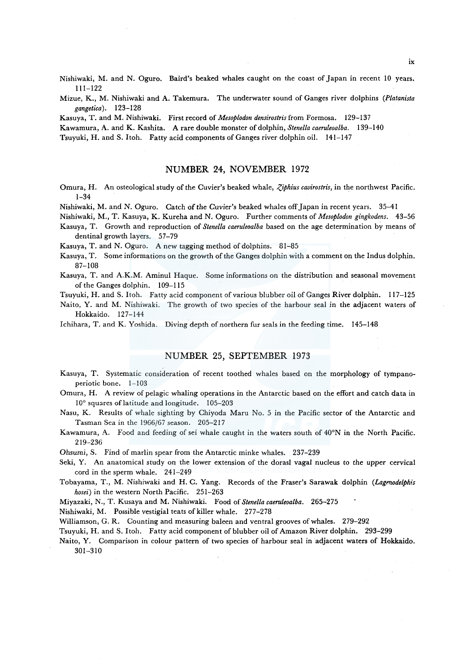Nishiwaki, M. and N. Oguro. Baird's beaked whales caught on the coast of Japan in recent 10 years. 111-122

Mizue, K., M. Nishiwaki and A. Takemura. The underwater sound of Ganges river dolphins *(Platanista gangetica).* 123-128

Kasuya, T. and M. Nishiwaki. First record of *Mesoplodon densirostris* from Formosa. 129-137

Kawamura, A. and K. Kashita. A rare double monster of dolphin, *Stenella caeruleoalba.* 139-140

Tsuyuki, H. and S. Itoh. Fatty acid components of Ganges river dolphin oil. 141-147

## **NUMBER** 24, NOVEMBER 1972

Omura, H. An osteological study of the Cuvier's beaked whale, *Ziphius cavirostris*, in the northwest Pacific. 1-34

Nishiwaki, M. and N. Oguro. Catch of the Cuvier's beaked whales off Japan in recent years. 35-41

Nishiwaki, M., T. Kasuya, K. Kureha and N. Oguro. Further comments of *Mesoplodon gingkodens.* 43-56 Kasuya, T. Growth and reproduction of *Stenella caeruleoalba* based on the age determination by means of

dentinal growth layers. 57-79

Kasuya, T. and N. Oguro. A new tagging method of dolphins. 81-85

- Kasuya, T. Some informations on the growth of the Ganges dolphin with a comment on the Indus dolphin. 87-108
- Kasuya, T. and A.K.M. Aminul Haque. Some informations on the distribution and seasonal movement of the Ganges dolphin. 109-115

Tsuyuki, H. and S. Itoh. Fatty acid component of various blubber oil of Ganges River dolphin. 117-125

Naito, Y. and M. Nishiwaki. The growth of two species of the harbour seal in the adjacent waters of Hokkaido. 127-144

Ichihara, T. and K. Yoshida. Diving depth of northern fur seals in the feeding time. 145-148

## NUMBER 25, SEPTEMBER 1973

Kasuya, T. Systematic consideration of recent toothed whales based on the morphology of tympanoperiotic bone. 1-103

Omurn, H. A review of pelagic whaling operations in the Antarctic based on the effort and catch data in 10° squares of latitude and longitude. 105-203

Nasu, K. Results of whale sighting by Chiyoda Maru No. 5 in the Pacific sector of the Antarctic and Tasman Sea in the 1966/67 season. 205-217

Kawamura, A. Food and feeding of sei whale caught in the waters south of 40°N in the North Pacific. 219-236

*Ohsumi,* S. Find of marlin spear from the Antarctic minke whales. 237-239

Seki, Y. An anatomical study on the lower extension of the dorasl vagal nucleus to the upper cervical cord in the sperm whale. 241-249

Tobayama, T., M. Nishiwaki and H. C. Yang. Records of the Fraser's Sarawak dolphin *(Lagmodelphis hosei)* in the western North Pacific. 251-263

Miyazaki, N., T. Kusaya and M. Nishiwaki. Food of *Stenella caeruleoalba.* 265-275

Nishiwaki, M. Possible vestigial teats of killer whale. 277-278

Williamson, G. R. Counting and measuring baleen and ventral grooves of whales. 279-292

Tsuyuki, H. and S. Itoh. Fatty acid component of blubber oil of Amazon River dolphin. 293-299

Naito, Y. Comparison in colour pattern of two species of harbour seal in adjacent waters of Hokkaido. 301-310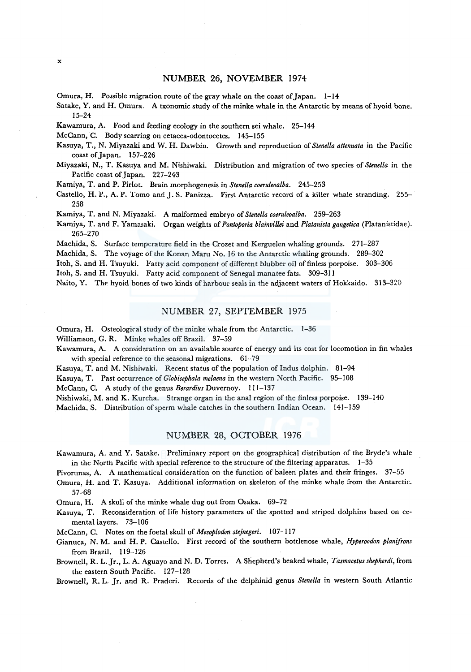Omura, H. Possible migration route of the gray whale on the coast of Japan.  $1-14$ 

Sa take, Y. and H. Omura. A txonomic study of the minke whale in the Antarctic by means of hyoid bone. 15-24

Kawamura, A. Food and feeding ecology in the southern sei whale. 25-144

McCann, C. Body scarring on cetacea-odontocetes. 145-155

Kasuya, T., N. Miyazaki and W. H. Dawbin. Growth and reproduction of *Stenella attenuata* in the Pacific coast of Japan. 157-226

Miyazaki, N., T. Kasuya and M. Nishiwaki. Distribution and migration of two species of *Stenella* in the Pacific coast of Japan. 227-243

Kamiya, T. and P. Pirlot. Brain morphogenesis in *Stenella coeruleoalba.* 245-253

Castello, H.P., A.P. Tomo and J.S. Panizza. First Antarctic record of a killer whale stranding. 255– 258

Kamiya, T. and N. Miyazaki. A malformed embryo of *Stenella coeruleoalba.* 259-263

Kamiya, T. and F. Yamasaki. Organ weights of *Pontoporia blainvillei* and *Platanista gangetica* (Platanistidae). 265-270

Machida, S. Surface temperature field in the Crozet and Kerguelen whaling grounds. 271-287

Machida, S. The voyage of the Konan Maru No. 16 to the Antarctic whaling grounds. 289-302

ltoh, S. and H. Tsuyuki. Fatty acid component of different blubber oil of finless porpoise. 303-306

Itoh, S. and H. Tsuyuki. Fatty acid component of Senegal manatee fats. 309-311

Naito, Y. The hyoid bones of two kinds of harbour seals in the adjacent waters of Hokkaido. 313-320

## NUMBER 27, SEPTEMBER 1975

Omura, H. Osteological study of the minke whale from the Antarctic. 1-36

Williamson, G. R. Minke whales off Brazil. 37-59

Kawamura, A. A consideration on an available source of energy and its cost for locomotion in fin whales with special reference to the seasonal migrations. 61-79

Kasuya, T. and M. Nishiwaki. Recent status of the population of lndus dolphin. 81-94

Kasuya, T. Past occurrence of *Globicephala melaena* in the western North Pacific. 95-108

McCann, C. A study of the genus *Berardius* Duvernoy. 111-137

Nishiwaki, M. and K. Kureha. Strange organ in the anal region of the finless porpoise. 139-140

Machida. S. Distribution of sperm whale catches in the southern Indian Ocean. 141-159

## NUMBER 28, OCTOBER 1976

Kawamura, A. and Y. Satake. Preliminary report on the geographical distribution of the Bryde's whale in the North Pacific with special reference to the structure of the filtering apparatus. 1-35

Pivorunas, A. A mathematical consideration on the function of baleen plates and their fringes. 37-55

Omura, H. and T. Kasuya. Additional information on skeleton of the minke whale from the Antarctic. 57-68

Omura, H. A skull of the minke whale dug out from Osaka. 69-72

Kasuya, T. Reconsideration of life history parameters of the spotted and striped dolphins based on cemental layers. 73-106

McCann, C. Notes on the foetal skull of *Mesoplodon stejnegeri.* 107-117

Gianuca, N. M. and H. P. Castello. First record of the southern bottlenose whale, *Hyperoodon planifrons*  from Brazil. 119-126

Brownell, R. L. Jr., L. A. Aguayo and N. D. Torres. A Shepherd's beaked whale, *Tasmacetus shepherdi,* from the eastern South Pacific. 127-128

Brownell, R. L. Jr. and R. Praderi. Records of the delphinid genus *Stenella* in western South Atlantic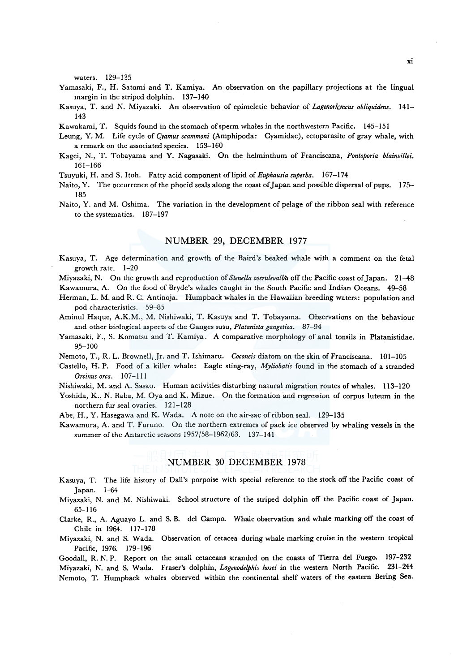waters. 129-135

- Yamasaki, F., H. Satomi and T. Kamiya. An observation on the papillary projections at the lingual margin in the striped dolphin. 137-140
- Kasuya, T. and N. Miyazaki. An observation of epimeletic behavior of *Lagenorhyncus obliquidens.* 141- 143
- Kawakami, T. Squids found in the stomach of sperm whales in the northwestern Pacific. 145-151
- Leung, Y. M. Life cycle of *Cyamus scammoni* (Amphipoda: Cyamidae), ectoparasite of gray whale, with a remark on the associated species. 153-160
- Kagei, N., T. Tobayama and Y. Nagasaki. On the helminthum of Franciscana, *Pontoporia blainvillei.*  161-166
- Tsuyuki, H. and S. Itoh. Fatty acid component oflipid of *Euphausia superba.* 167-174
- Naito, Y. The occurrence of the phocid seals along the coast of Japan and possible dispersal of pups. 175-185
- Naito, Y. and M. Oshima. The variation in the development of pelage of the ribbon seal with reference to the systematics. 187-197

## NUMBER 29, DECEMBER 1977

Kasuya, T. Age determination and growth of the Baird's beaked whale with a comment on the feta! growth rate. 1-20

Miyazaki, N. On the growth and reproduction of *Stene/la coeruleoalbh* off the Pacific coast of Japan. 21-48 Kawamura, A. On the food of Bryde's whales caught in the South Pacific and Indian Oceans. 49-58

- Herman, L. M. and R. C. Antinoja. Humpback whales in the Hawaiian breeding waters: population and pod characteristics. 59-85
- Aminul Haque, A.K.M., M. Nishiwaki, T. Kasuya and T. Tobayama. Observations on the behaviour and other biological aspects of the Ganges susu, *Platanista gangetica.* 87-94
- Yamasaki, F., S. Komatsu and T. Kamiya. A comparative morphology of anal tonsils in Platanistidae. 95-100

Nemoto, T., R. L. Brownell, Jr. and T. Ishimaru. *Coconeis* diatom on the skin of Franciscana. 101-105

- Castello, H.P. Food of a killer whale: Eagle sting-ray, *Myliobatis* found in the stomach of a stranded *Orcinus orca.* 107-111
- Nishiwaki, M. and A. Sasao. Human activities disturbing natural migration routes of whales. 113-120
- Yoshida, K., N. Baba, M. Oya and K. Mizue. On the formation and regression of corpus luteum in the northern fur seal ovaries. 121-128
- Abe, H., Y. Hasegawa and K. Wada. A note on the air-sac of ribbon seal. 129-135
- Kawamura, A. and T. Furuno. On the northern extremes of pack ice observed by whaling vessels in the summer of the Antarctic seasons 1957/58-1962/63. 137-141

# NUMBER 30 DECEMBER 1978

- Kasuya, T. The life history of Dall's porpoise with special reference to the stock off the Pacific coast of Japan. 1-64
- Miyazaki, N. and M. Nishiwaki. School structure of the striped dolphin off the Pacific coast of Japan. 65-116
- Clarke, R., A. Aguayo L. and S. B. del Campo. Whale observation and whale marking off the coast of Chile in 1964. 117-178
- Miyazaki, N. and S. Wada. Observation of cetacea during whale marking cruise in the western tropical Pacific, 1976. 179-196

Goodall, R. N. P. Report on the small cetaceans stranded on the coasts of Tierra de! Fuego. 197-232 Miyazaki, N. and S. Wada. Fraser's dolphin, *Lagenodelphis hosei* in the western North Pacific. 231-244 Nemoto, T. Humpback whales observed within the continental shelf waters of the eastern Bering Sea.